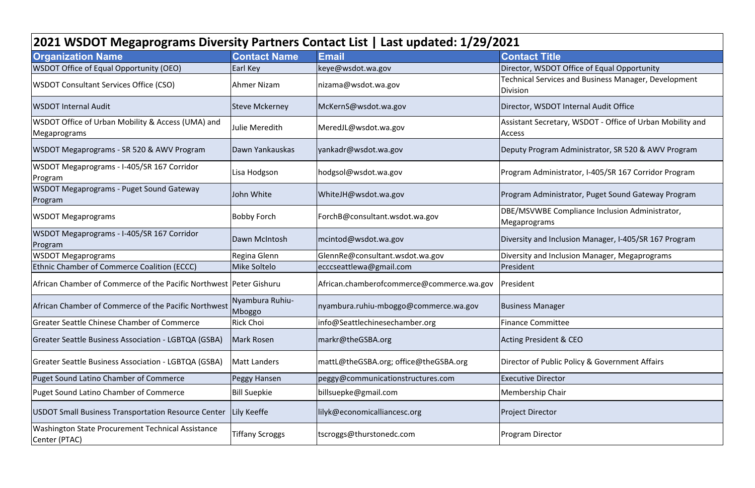| 2021 WSDOT Megaprograms Diversity Partners Contact List   Last updated: 1/29/2021 |                           |                                           |                                                                         |  |  |
|-----------------------------------------------------------------------------------|---------------------------|-------------------------------------------|-------------------------------------------------------------------------|--|--|
| <b>Organization Name</b>                                                          | <b>Contact Name</b>       | <b>Email</b>                              | <b>Contact Title</b>                                                    |  |  |
| <b>WSDOT Office of Equal Opportunity (OEO)</b>                                    | Earl Key                  | keye@wsdot.wa.gov                         | Director, WSDOT Office of Equal Opportunity                             |  |  |
| <b>WSDOT Consultant Services Office (CSO)</b>                                     | Ahmer Nizam               | nizama@wsdot.wa.gov                       | Technical Services and Business Manager, Development<br><b>Division</b> |  |  |
| <b>WSDOT Internal Audit</b>                                                       | <b>Steve Mckerney</b>     | McKernS@wsdot.wa.gov                      | Director, WSDOT Internal Audit Office                                   |  |  |
| WSDOT Office of Urban Mobility & Access (UMA) and<br>Megaprograms                 | Julie Meredith            | MeredJL@wsdot.wa.gov                      | Assistant Secretary, WSDOT - Office of Urban Mobility a<br>Access       |  |  |
| WSDOT Megaprograms - SR 520 & AWV Program                                         | Dawn Yankauskas           | yankadr@wsdot.wa.gov                      | Deputy Program Administrator, SR 520 & AWV Program                      |  |  |
| WSDOT Megaprograms - I-405/SR 167 Corridor<br>Program                             | Lisa Hodgson              | hodgsol@wsdot.wa.gov                      | Program Administrator, I-405/SR 167 Corridor Program                    |  |  |
| <b>WSDOT Megaprograms - Puget Sound Gateway</b><br>Program                        | John White                | WhiteJH@wsdot.wa.gov                      | Program Administrator, Puget Sound Gateway Program                      |  |  |
| <b>WSDOT Megaprograms</b>                                                         | <b>Bobby Forch</b>        | ForchB@consultant.wsdot.wa.gov            | DBE/MSVWBE Compliance Inclusion Administrator,<br>Megaprograms          |  |  |
| WSDOT Megaprograms - I-405/SR 167 Corridor<br>Program                             | Dawn McIntosh             | mcintod@wsdot.wa.gov                      | Diversity and Inclusion Manager, I-405/SR 167 Program                   |  |  |
| <b>WSDOT Megaprograms</b>                                                         | Regina Glenn              | GlennRe@consultant.wsdot.wa.gov           | Diversity and Inclusion Manager, Megaprograms                           |  |  |
| <b>Ethnic Chamber of Commerce Coalition (ECCC)</b>                                | <b>Mike Soltelo</b>       | ecccseattlewa@gmail.com                   | President                                                               |  |  |
| African Chamber of Commerce of the Pacific Northwest   Peter Gishuru              |                           | African.chamberofcommerce@commerce.wa.gov | President                                                               |  |  |
| African Chamber of Commerce of the Pacific Northwest                              | Nyambura Ruhiu-<br>Mboggo | nyambura.ruhiu-mboggo@commerce.wa.gov     | <b>Business Manager</b>                                                 |  |  |
| <b>Greater Seattle Chinese Chamber of Commerce</b>                                | Rick Choi                 | info@Seattlechinesechamber.org            | <b>Finance Committee</b>                                                |  |  |
| Greater Seattle Business Association - LGBTQA (GSBA)                              | <b>Mark Rosen</b>         | markr@theGSBA.org                         | <b>Acting President &amp; CEO</b>                                       |  |  |
| <b>Greater Seattle Business Association - LGBTQA (GSBA)</b>                       | <b>Matt Landers</b>       | mattL@theGSBA.org; office@theGSBA.org     | Director of Public Policy & Government Affairs                          |  |  |
| <b>Puget Sound Latino Chamber of Commerce</b>                                     | Peggy Hansen              | peggy@communicationstructures.com         | <b>Executive Director</b>                                               |  |  |
| <b>Puget Sound Latino Chamber of Commerce</b>                                     | <b>Bill Suepkie</b>       | billsuepke@gmail.com                      | Membership Chair                                                        |  |  |
| <b>USDOT Small Business Transportation Resource Center</b>                        | Lily Keeffe               | lilyk@economicalliancesc.org              | <b>Project Director</b>                                                 |  |  |
| <b>Washington State Procurement Technical Assistance</b><br>Center (PTAC)         | <b>Tiffany Scroggs</b>    | tscroggs@thurstonedc.com                  | Program Director                                                        |  |  |

tary, WSDOT – Office of Urban Mobility and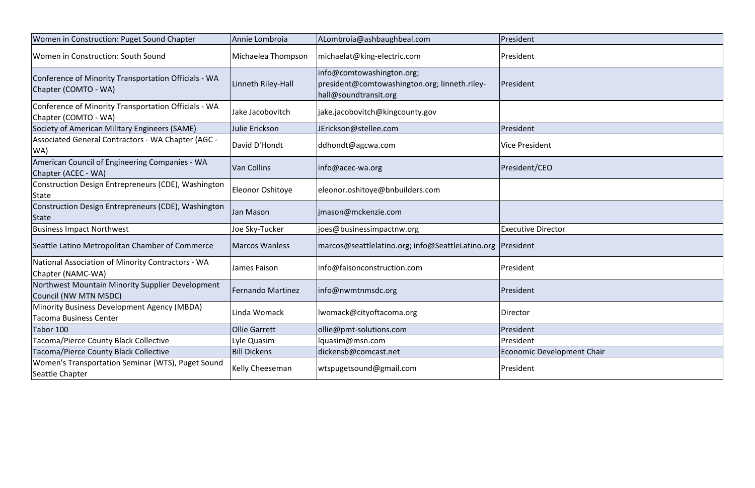| Women in Construction: Puget Sound Chapter                                   | Annie Lombroia           | ALombroia@ashbaughbeal.com                                                                          | President                  |
|------------------------------------------------------------------------------|--------------------------|-----------------------------------------------------------------------------------------------------|----------------------------|
| Women in Construction: South Sound                                           | Michaelea Thompson       | michaelat@king-electric.com                                                                         | President                  |
| Conference of Minority Transportation Officials - WA<br>Chapter (COMTO - WA) | Linneth Riley-Hall       | info@comtowashington.org;<br>president@comtowashington.org; linneth.riley-<br>hall@soundtransit.org | President                  |
| Conference of Minority Transportation Officials - WA<br>Chapter (COMTO - WA) | Jake Jacobovitch         | jake.jacobovitch@kingcounty.gov                                                                     |                            |
| Society of American Military Engineers (SAME)                                | Julie Erickson           | JErickson@stellee.com                                                                               | President                  |
| Associated General Contractors - WA Chapter (AGC -<br>WA)                    | David D'Hondt            | ddhondt@agcwa.com                                                                                   | <b>Vice President</b>      |
| American Council of Engineering Companies - WA<br>Chapter (ACEC - WA)        | <b>Van Collins</b>       | info@acec-wa.org                                                                                    | President/CEO              |
| Construction Design Entrepreneurs (CDE), Washington<br>State                 | Eleonor Oshitoye         | eleonor.oshitoye@bnbuilders.com                                                                     |                            |
| Construction Design Entrepreneurs (CDE), Washington<br><b>State</b>          | Jan Mason                | jmason@mckenzie.com                                                                                 |                            |
| <b>Business Impact Northwest</b>                                             | Joe Sky-Tucker           | joes@businessimpactnw.org                                                                           | <b>Executive Director</b>  |
| Seattle Latino Metropolitan Chamber of Commerce                              | <b>Marcos Wanless</b>    | marcos@seattlelatino.org; info@SeattleLatino.org  President                                         |                            |
| National Association of Minority Contractors - WA<br>Chapter (NAMC-WA)       | James Faison             | Info@faisonconstruction.com                                                                         | President                  |
| Northwest Mountain Minority Supplier Development<br>Council (NW MTN MSDC)    | <b>Fernando Martinez</b> | info@nwmtnmsdc.org                                                                                  | President                  |
| Minority Business Development Agency (MBDA)<br>Tacoma Business Center        | Linda Womack             | lwomack@cityoftacoma.org                                                                            | Director                   |
| Tabor 100                                                                    | <b>Ollie Garrett</b>     | ollie@pmt-solutions.com                                                                             | President                  |
| <b>Tacoma/Pierce County Black Collective</b>                                 | Lyle Quasim              | lquasim@msn.com                                                                                     | President                  |
| Tacoma/Pierce County Black Collective                                        | <b>Bill Dickens</b>      | dickensb@comcast.net                                                                                | Economic Development Chair |
| Women's Transportation Seminar (WTS), Puget Sound<br>Seattle Chapter         | Kelly Cheeseman          | wtspugetsound@gmail.com                                                                             | President                  |

| tor           |
|---------------|
|               |
|               |
|               |
|               |
|               |
|               |
|               |
|               |
| lopment Chair |
|               |
|               |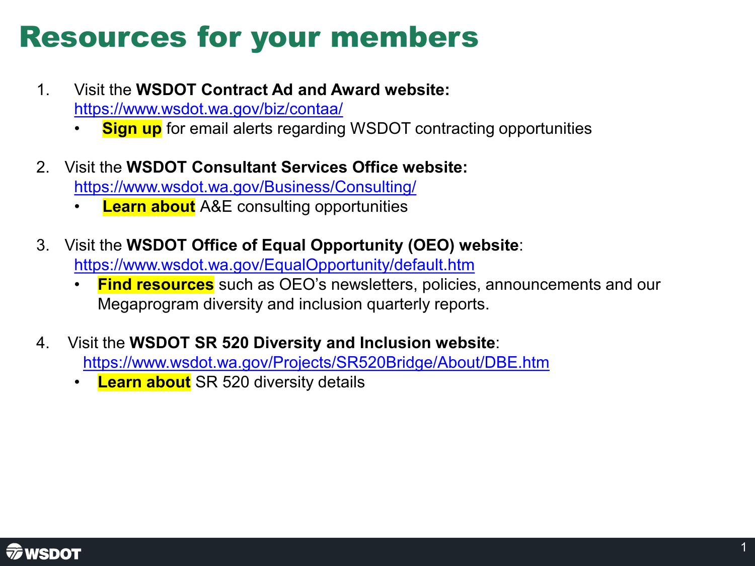# Resources for your members

- 1. Visit the **WSDOT Contract Ad and Award website:**  <https://www.wsdot.wa.gov/biz/contaa/>
	- **Sign up** for email alerts regarding WSDOT contracting opportunities
- 2. Visit the **WSDOT Consultant Services Office website:**  <https://www.wsdot.wa.gov/Business/Consulting/>
	- **Learn about** A&E consulting opportunities
- 3. Visit the **WSDOT Office of Equal Opportunity (OEO) website**: <https://www.wsdot.wa.gov/EqualOpportunity/default.htm>
	- **Find resources** such as OEO's newsletters, policies, announcements and our Megaprogram diversity and inclusion quarterly reports.
- **FUNDED** 4. Visit the **WSDOT SR 520 Diversity and Inclusion website**: <https://www.wsdot.wa.gov/Projects/SR520Bridge/About/DBE.htm>
	- **Learn about** SR 520 diversity details